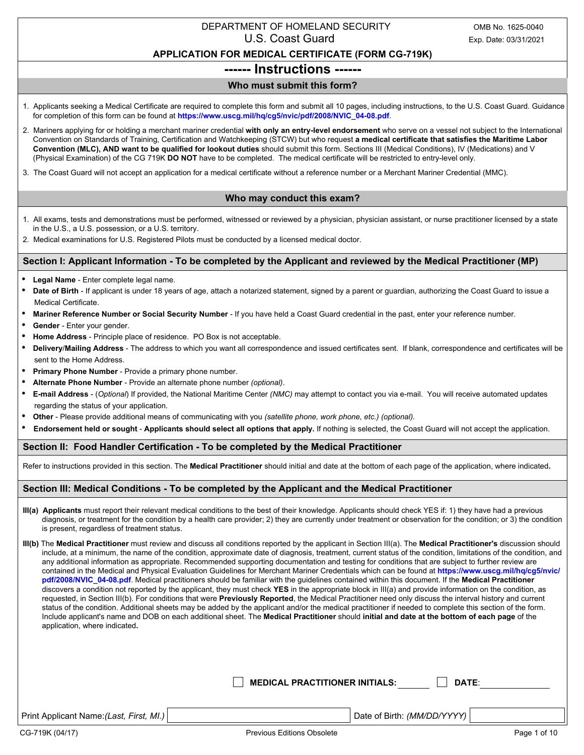## DEPARTMENT OF HOMELAND SECURITY OMB No. 1625-0040 U.S. Coast Guard Exp. Date: 03/31/2021

## **APPLICATION FOR MEDICAL CERTIFICATE (FORM CG-719K)**

# **------ Instructions ------**

## **Who must submit this form?**

- 1. Applicants seeking a Medical Certificate are required to complete this form and submit all 10 pages, including instructions, to the U.S. Coast Guard. Guidance for completion of this form can be found at **https://www.uscg.mil/hq/cg5/nvic/pdf/2008/NVIC\_04-08.pdf**.
- 2. Mariners applying for or holding a merchant mariner credential **with only an entry-level endorsement** who serve on a vessel not subject to the International Convention on Standards of Training, Certification and Watchkeeping (STCW) but who request **a medical certificate that satisfies the Maritime Labor Convention (MLC), AND want to be qualified for lookout duties** should submit this form. Sections III (Medical Conditions), IV (Medications) and V (Physical Examination) of the CG 719K **DO NOT** have to be completed. The medical certificate will be restricted to entry-level only.
- 3. The Coast Guard will not accept an application for a medical certificate without a reference number or a Merchant Mariner Credential (MMC).

## **Who may conduct this exam?**

- 1. All exams, tests and demonstrations must be performed, witnessed or reviewed by a physician, physician assistant, or nurse practitioner licensed by a state in the U.S., a U.S. possession, or a U.S. territory.
- 2. Medical examinations for U.S. Registered Pilots must be conducted by a licensed medical doctor.

## **Section I: Applicant Information - To be completed by the Applicant and reviewed by the Medical Practitioner (MP)**

- **Legal Name**  Enter complete legal name.
- **Date of Birth**  If applicant is under 18 years of age, attach a notarized statement, signed by a parent or guardian, authorizing the Coast Guard to issue a Medical Certificate.
- **Mariner Reference Number or Social Security Number**  If you have held a Coast Guard credential in the past, enter your reference number.
- Gender Enter your gender.
- **Home Address**  Principle place of residence. PO Box is not acceptable.
- **Delivery**/**Mailing Address**  The address to which you want all correspondence and issued certificates sent. If blank, correspondence and certificates will be sent to the Home Address.
- **Primary Phone Number**  Provide a primary phone number.
- **Alternate Phone Number**  Provide an alternate phone number *(optional)*.
- **E-mail Address**  (*Optional*) If provided, the National Maritime Center *(NMC)* may attempt to contact you via e-mail. You will receive automated updates regarding the status of your application.
- **Other**  Please provide additional means of communicating with you *(satellite phone, work phone, etc.) (optional).*
- **Endorsement held or sought** - **Applicants should select all options that apply.** If nothing is selected, the Coast Guard will not accept the application.

## **Section II: Food Handler Certification - To be completed by the Medical Practitioner**

Refer to instructions provided in this section. The **Medical Practitioner** should initial and date at the bottom of each page of the application, where indicated**.**

## **Section III: Medical Conditions - To be completed by the Applicant and the Medical Practitioner**

**III(a) Applicants** must report their relevant medical conditions to the best of their knowledge. Applicants should check YES if: 1) they have had a previous diagnosis, or treatment for the condition by a health care provider; 2) they are currently under treatment or observation for the condition; or 3) the condition is present, regardless of treatment status.

| III(b) The Medical Practitioner must review and discuss all conditions reported by the applicant in Section III(a). The Medical Practitioner's discussion should |
|------------------------------------------------------------------------------------------------------------------------------------------------------------------|
| include, at a minimum, the name of the condition, approximate date of diagnosis, treatment, current status of the condition, limitations of the condition, and   |
| any additional information as appropriate. Recommended supporting documentation and testing for conditions that are subject to further review are                |
| contained in the Medical and Physical Evaluation Guidelines for Merchant Mariner Credentials which can be found at https://www.uscq.mil/hq/cq5/nvic/             |
| pdf/2008/NVIC 04-08.pdf. Medical practitioners should be familiar with the guidelines contained within this document. If the Medical Practitioner                |
| discovers a condition not reported by the applicant, they must check YES in the appropriate block in III(a) and provide information on the condition, as         |
| requested, in Section III(b). For conditions that were <b>Previously Reported</b> , the Medical Practitioner need only discuss the interval history and current  |
| status of the condition. Additional sheets may be added by the applicant and/or the medical practitioner if needed to complete this section of the form.         |
| Include applicant's name and DOB on each additional sheet. The Medical Practitioner should initial and date at the bottom of each page of the                    |
| application, where indicated.                                                                                                                                    |
|                                                                                                                                                                  |

| $\Box$ MEDICAL PRACTITIONER INITIALS: |
|---------------------------------------|
|---------------------------------------|

**MEDIATE:** 

Print Applicant Name:*(Last, First, MI.)* Date of Birth: *(MM/DD/YYYY)*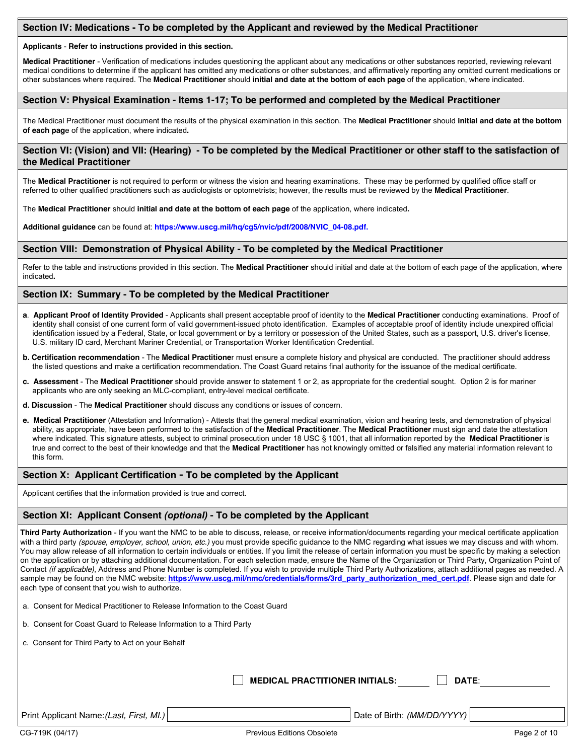## **Section IV: Medications - To be completed by the Applicant and reviewed by the Medical Practitioner**

#### **Applicants** - **Refer to instructions provided in this section.**

**Medical Practitioner** - Verification of medications includes questioning the applicant about any medications or other substances reported, reviewing relevant medical conditions to determine if the applicant has omitted any medications or other substances, and affirmatively reporting any omitted current medications or other substances where required. The **Medical Practitioner** should **initial and date at the bottom of each page** of the application, where indicated.

## **Section V: Physical Examination - Items 1-17; To be performed and completed by the Medical Practitioner**

The Medical Practitioner must document the results of the physical examination in this section. The **Medical Practitioner** should **initial and date at the bottom of each pag**e of the application, where indicated**.**

## **Section VI: (Vision) and VII: (Hearing) - To be completed by the Medical Practitioner or other staff to the satisfaction of the Medical Practitioner**

The **Medical Practitioner** is not required to perform or witness the vision and hearing examinations. These may be performed by qualified office staff or referred to other qualified practitioners such as audiologists or optometrists; however, the results must be reviewed by the **Medical Practitioner**.

The **Medical Practitioner** should **initial and date at the bottom of each page** of the application, where indicated**.**

**Additional guidance** can be found at: **https://www.uscg.mil/hq/cg5/nvic/pdf/2008/NVIC\_04-08.pdf.**

#### **Section VIII: Demonstration of Physical Ability - To be completed by the Medical Practitioner**

Refer to the table and instructions provided in this section. The **Medical Practitioner** should initial and date at the bottom of each page of the application, where indicated**.**

#### **Section IX: Summary - To be completed by the Medical Practitioner**

- **a**. **Applicant Proof of Identity Provided**  Applicants shall present acceptable proof of identity to the **Medical Practitioner** conducting examinations. Proof of identity shall consist of one current form of valid government-issued photo identification. Examples of acceptable proof of identity include unexpired official identification issued by a Federal, State, or local government or by a territory or possession of the United States, such as a passport, U.S. driver's license, U.S. military ID card, Merchant Mariner Credential, or Transportation Worker Identification Credential.
- **b. Certification recommendation** The **Medical Practitione**r must ensure a complete history and physical are conducted. The practitioner should address the listed questions and make a certification recommendation. The Coast Guard retains final authority for the issuance of the medical certificate.
- **c. Assessment** The **Medical Practitioner** should provide answer to statement 1 or 2, as appropriate for the credential sought. Option 2 is for mariner applicants who are only seeking an MLC-compliant, entry-level medical certificate.
- **d. Discussion** The **Medical Practitioner** should discuss any conditions or issues of concern.
- **e. Medical Practitioner** (Attestation and Information) Attests that the general medical examination, vision and hearing tests, and demonstration of physical ability, as appropriate, have been performed to the satisfaction of the **Medical Practitioner**. The **Medical Practitioner** must sign and date the attestation where indicated. This signature attests, subject to criminal prosecution under 18 USC § 1001, that all information reported by the **Medical Practitioner** is true and correct to the best of their knowledge and that the **Medical Practitioner** has not knowingly omitted or falsified any material information relevant to this form.

#### **Section X: Applicant Certification - To be completed by the Applicant**

Applicant certifies that the information provided is true and correct.

#### **Section XI: Applicant Consent** *(optional)* **- To be completed by the Applicant**

| Third Party Authorization - If you want the NMC to be able to discuss, release, or receive information/documents regarding your medical certificate application          |
|--------------------------------------------------------------------------------------------------------------------------------------------------------------------------|
| with a third party <i>(spouse, employer, school, union, etc.)</i> you must provide specific quidance to the NMC regarding what issues we may discuss and with whom.      |
| You may allow release of all information to certain individuals or entities. If you limit the release of certain information you must be specific by making a selection  |
| on the application or by attaching additional documentation. For each selection made, ensure the Name of the Organization or Third Party, Organization Point of          |
| Contact <i>(if applicable)</i> , Address and Phone Number is completed. If you wish to provide multiple Third Party Authorizations, attach additional pages as needed. A |
| sample may be found on the NMC website: https://www.uscq.mil/nmc/credentials/forms/3rd party authorization med cert.pdf. Please sign and date for                        |
| each type of consent that you wish to authorize.                                                                                                                         |
|                                                                                                                                                                          |

- a. Consent for Medical Practitioner to Release Information to the Coast Guard
- b. Consent for Coast Guard to Release Information to a Third Party
- c. Consent for Third Party to Act on your Behalf

**MEDICAL PRACTITIONER INITIALS: DATE**:

Print Applicant Name:*(Last, First, MI.)* | Date of Birth: *(MM/DD/YYYY)*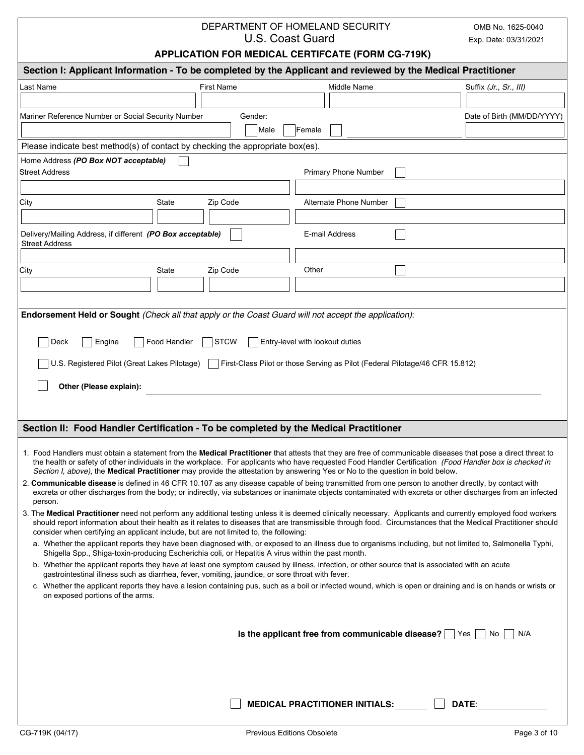| DEPARTMENT OF HOMELAND SECURITY |
|---------------------------------|
| U.S. Coast Guard                |

OMB No. 1625-0040 Exp. Date: 03/31/2021

# **APPLICATION FOR MEDICAL CERTIFCATE (FORM CG-719K)**

|                                                                                                                                                                                                                                                                                                                                                                                                                                                           | Section I: Applicant Information - To be completed by the Applicant and reviewed by the Medical Practitioner |                            |  |  |  |  |  |  |
|-----------------------------------------------------------------------------------------------------------------------------------------------------------------------------------------------------------------------------------------------------------------------------------------------------------------------------------------------------------------------------------------------------------------------------------------------------------|--------------------------------------------------------------------------------------------------------------|----------------------------|--|--|--|--|--|--|
| <b>First Name</b><br>Last Name<br>Middle Name                                                                                                                                                                                                                                                                                                                                                                                                             |                                                                                                              | Suffix (Jr., Sr., III)     |  |  |  |  |  |  |
|                                                                                                                                                                                                                                                                                                                                                                                                                                                           |                                                                                                              |                            |  |  |  |  |  |  |
| Mariner Reference Number or Social Security Number<br>Gender:                                                                                                                                                                                                                                                                                                                                                                                             |                                                                                                              | Date of Birth (MM/DD/YYYY) |  |  |  |  |  |  |
| Female<br>Male                                                                                                                                                                                                                                                                                                                                                                                                                                            |                                                                                                              |                            |  |  |  |  |  |  |
| Please indicate best method(s) of contact by checking the appropriate box(es).                                                                                                                                                                                                                                                                                                                                                                            |                                                                                                              |                            |  |  |  |  |  |  |
| Home Address (PO Box NOT acceptable)<br><b>Street Address</b><br>Primary Phone Number                                                                                                                                                                                                                                                                                                                                                                     |                                                                                                              |                            |  |  |  |  |  |  |
|                                                                                                                                                                                                                                                                                                                                                                                                                                                           |                                                                                                              |                            |  |  |  |  |  |  |
| Alternate Phone Number<br>City<br>State<br>Zip Code                                                                                                                                                                                                                                                                                                                                                                                                       |                                                                                                              |                            |  |  |  |  |  |  |
|                                                                                                                                                                                                                                                                                                                                                                                                                                                           |                                                                                                              |                            |  |  |  |  |  |  |
| Delivery/Mailing Address, if different (PO Box acceptable)<br>E-mail Address<br><b>Street Address</b>                                                                                                                                                                                                                                                                                                                                                     |                                                                                                              |                            |  |  |  |  |  |  |
|                                                                                                                                                                                                                                                                                                                                                                                                                                                           |                                                                                                              |                            |  |  |  |  |  |  |
| Other<br>City<br>State<br>Zip Code                                                                                                                                                                                                                                                                                                                                                                                                                        |                                                                                                              |                            |  |  |  |  |  |  |
|                                                                                                                                                                                                                                                                                                                                                                                                                                                           |                                                                                                              |                            |  |  |  |  |  |  |
|                                                                                                                                                                                                                                                                                                                                                                                                                                                           |                                                                                                              |                            |  |  |  |  |  |  |
| Endorsement Held or Sought (Check all that apply or the Coast Guard will not accept the application):                                                                                                                                                                                                                                                                                                                                                     |                                                                                                              |                            |  |  |  |  |  |  |
|                                                                                                                                                                                                                                                                                                                                                                                                                                                           |                                                                                                              |                            |  |  |  |  |  |  |
| Deck<br>Engine<br>Food Handler<br><b>STCW</b><br>Entry-level with lookout duties                                                                                                                                                                                                                                                                                                                                                                          |                                                                                                              |                            |  |  |  |  |  |  |
| U.S. Registered Pilot (Great Lakes Pilotage)<br>First-Class Pilot or those Serving as Pilot (Federal Pilotage/46 CFR 15.812)                                                                                                                                                                                                                                                                                                                              |                                                                                                              |                            |  |  |  |  |  |  |
| Other (Please explain):                                                                                                                                                                                                                                                                                                                                                                                                                                   |                                                                                                              |                            |  |  |  |  |  |  |
|                                                                                                                                                                                                                                                                                                                                                                                                                                                           |                                                                                                              |                            |  |  |  |  |  |  |
|                                                                                                                                                                                                                                                                                                                                                                                                                                                           |                                                                                                              |                            |  |  |  |  |  |  |
| Section II: Food Handler Certification - To be completed by the Medical Practitioner                                                                                                                                                                                                                                                                                                                                                                      |                                                                                                              |                            |  |  |  |  |  |  |
|                                                                                                                                                                                                                                                                                                                                                                                                                                                           |                                                                                                              |                            |  |  |  |  |  |  |
| 1. Food Handlers must obtain a statement from the Medical Practitioner that attests that they are free of communicable diseases that pose a direct threat to<br>the health or safety of other individuals in the workplace. For applicants who have requested Food Handler Certification (Food Handler box is checked in<br>Section I, above), the Medical Practitioner may provide the attestation by answering Yes or No to the question in bold below. |                                                                                                              |                            |  |  |  |  |  |  |
| 2. Communicable disease is defined in 46 CFR 10.107 as any disease capable of being transmitted from one person to another directly, by contact with                                                                                                                                                                                                                                                                                                      |                                                                                                              |                            |  |  |  |  |  |  |
| excreta or other discharges from the body; or indirectly, via substances or inanimate objects contaminated with excreta or other discharges from an infected<br>person.                                                                                                                                                                                                                                                                                   |                                                                                                              |                            |  |  |  |  |  |  |
| 3. The Medical Practitioner need not perform any additional testing unless it is deemed clinically necessary. Applicants and currently employed food workers<br>should report information about their health as it relates to diseases that are transmissible through food. Circumstances that the Medical Practitioner should<br>consider when certifying an applicant include, but are not limited to, the following:                                   |                                                                                                              |                            |  |  |  |  |  |  |
| a. Whether the applicant reports they have been diagnosed with, or exposed to an illness due to organisms including, but not limited to, Salmonella Typhi,<br>Shigella Spp., Shiga-toxin-producing Escherichia coli, or Hepatitis A virus within the past month.                                                                                                                                                                                          |                                                                                                              |                            |  |  |  |  |  |  |
| b. Whether the applicant reports they have at least one symptom caused by illness, infection, or other source that is associated with an acute                                                                                                                                                                                                                                                                                                            |                                                                                                              |                            |  |  |  |  |  |  |
| gastrointestinal illness such as diarrhea, fever, vomiting, jaundice, or sore throat with fever.<br>c. Whether the applicant reports they have a lesion containing pus, such as a boil or infected wound, which is open or draining and is on hands or wrists or                                                                                                                                                                                          |                                                                                                              |                            |  |  |  |  |  |  |
| on exposed portions of the arms.                                                                                                                                                                                                                                                                                                                                                                                                                          |                                                                                                              |                            |  |  |  |  |  |  |
|                                                                                                                                                                                                                                                                                                                                                                                                                                                           |                                                                                                              |                            |  |  |  |  |  |  |
| Is the applicant free from communicable disease?                                                                                                                                                                                                                                                                                                                                                                                                          | Yes                                                                                                          | N/A<br>No                  |  |  |  |  |  |  |
|                                                                                                                                                                                                                                                                                                                                                                                                                                                           |                                                                                                              |                            |  |  |  |  |  |  |
|                                                                                                                                                                                                                                                                                                                                                                                                                                                           |                                                                                                              |                            |  |  |  |  |  |  |
|                                                                                                                                                                                                                                                                                                                                                                                                                                                           |                                                                                                              |                            |  |  |  |  |  |  |
|                                                                                                                                                                                                                                                                                                                                                                                                                                                           |                                                                                                              |                            |  |  |  |  |  |  |
| <b>MEDICAL PRACTITIONER INITIALS:</b>                                                                                                                                                                                                                                                                                                                                                                                                                     | DATE:                                                                                                        |                            |  |  |  |  |  |  |
|                                                                                                                                                                                                                                                                                                                                                                                                                                                           |                                                                                                              |                            |  |  |  |  |  |  |
| CG-719K (04/17)<br><b>Previous Editions Obsolete</b>                                                                                                                                                                                                                                                                                                                                                                                                      |                                                                                                              | Page 3 of 10               |  |  |  |  |  |  |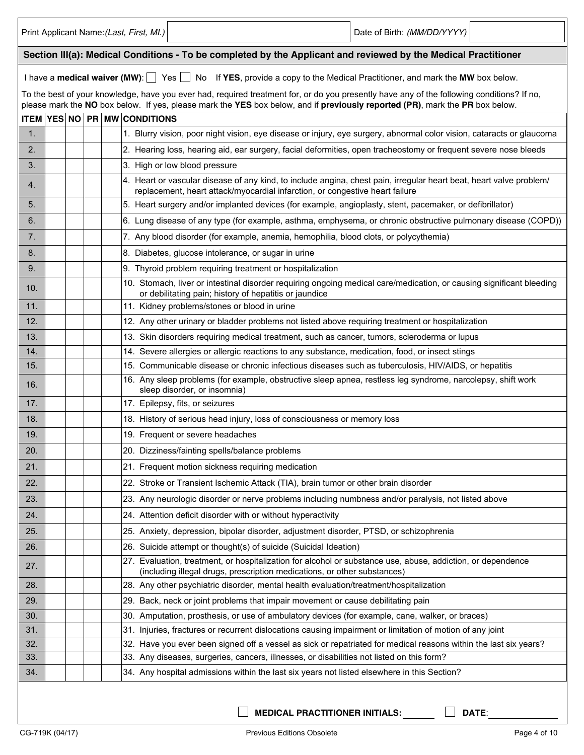|             |  | Print Applicant Name: (Last, First, MI.)                                                                                                                                                                                                                                   | Date of Birth: (MM/DD/YYYY) |
|-------------|--|----------------------------------------------------------------------------------------------------------------------------------------------------------------------------------------------------------------------------------------------------------------------------|-----------------------------|
|             |  | Section III(a): Medical Conditions - To be completed by the Applicant and reviewed by the Medical Practitioner                                                                                                                                                             |                             |
|             |  | I have a medical waiver (MW): $\Box$ Yes $\Box$ No If YES, provide a copy to the Medical Practitioner, and mark the MW box below.                                                                                                                                          |                             |
|             |  | To the best of your knowledge, have you ever had, required treatment for, or do you presently have any of the following conditions? If no,<br>please mark the NO box below. If yes, please mark the YES box below, and if previously reported (PR), mark the PR box below. |                             |
| <b>ITEM</b> |  | <b>YES NO PR MW CONDITIONS</b>                                                                                                                                                                                                                                             |                             |
| 1.          |  | 1. Blurry vision, poor night vision, eye disease or injury, eye surgery, abnormal color vision, cataracts or glaucoma                                                                                                                                                      |                             |
| 2.          |  | 2. Hearing loss, hearing aid, ear surgery, facial deformities, open tracheostomy or frequent severe nose bleeds                                                                                                                                                            |                             |
| 3.          |  | 3. High or low blood pressure                                                                                                                                                                                                                                              |                             |
| 4.          |  | 4. Heart or vascular disease of any kind, to include angina, chest pain, irregular heart beat, heart valve problem/<br>replacement, heart attack/myocardial infarction, or congestive heart failure                                                                        |                             |
| 5.          |  | 5. Heart surgery and/or implanted devices (for example, angioplasty, stent, pacemaker, or defibrillator)                                                                                                                                                                   |                             |
| 6.          |  | 6. Lung disease of any type (for example, asthma, emphysema, or chronic obstructive pulmonary disease (COPD))                                                                                                                                                              |                             |
| 7.          |  | 7. Any blood disorder (for example, anemia, hemophilia, blood clots, or polycythemia)                                                                                                                                                                                      |                             |
| 8.          |  | 8. Diabetes, glucose intolerance, or sugar in urine                                                                                                                                                                                                                        |                             |
| 9.          |  | 9. Thyroid problem requiring treatment or hospitalization                                                                                                                                                                                                                  |                             |
| 10.         |  | 10. Stomach, liver or intestinal disorder requiring ongoing medical care/medication, or causing significant bleeding<br>or debilitating pain; history of hepatitis or jaundice                                                                                             |                             |
| 11.         |  | 11. Kidney problems/stones or blood in urine                                                                                                                                                                                                                               |                             |
| 12.         |  | 12. Any other urinary or bladder problems not listed above requiring treatment or hospitalization                                                                                                                                                                          |                             |
| 13.         |  | 13. Skin disorders requiring medical treatment, such as cancer, tumors, scleroderma or lupus                                                                                                                                                                               |                             |
| 14.         |  | 14. Severe allergies or allergic reactions to any substance, medication, food, or insect stings                                                                                                                                                                            |                             |
| 15.         |  | 15. Communicable disease or chronic infectious diseases such as tuberculosis, HIV/AIDS, or hepatitis                                                                                                                                                                       |                             |
| 16.         |  | 16. Any sleep problems (for example, obstructive sleep apnea, restless leg syndrome, narcolepsy, shift work<br>sleep disorder, or insomnia)                                                                                                                                |                             |
| 17.         |  | 17. Epilepsy, fits, or seizures                                                                                                                                                                                                                                            |                             |
| 18.         |  | 18. History of serious head injury, loss of consciousness or memory loss                                                                                                                                                                                                   |                             |
| 19.         |  | 19. Frequent or severe headaches                                                                                                                                                                                                                                           |                             |
| 20.         |  | 20. Dizziness/fainting spells/balance problems                                                                                                                                                                                                                             |                             |
| 21.         |  | 21. Frequent motion sickness requiring medication                                                                                                                                                                                                                          |                             |
| 22.         |  | 22. Stroke or Transient Ischemic Attack (TIA), brain tumor or other brain disorder                                                                                                                                                                                         |                             |
| 23.         |  | 23. Any neurologic disorder or nerve problems including numbness and/or paralysis, not listed above                                                                                                                                                                        |                             |
| 24.         |  | 24. Attention deficit disorder with or without hyperactivity                                                                                                                                                                                                               |                             |
| 25.         |  | 25. Anxiety, depression, bipolar disorder, adjustment disorder, PTSD, or schizophrenia                                                                                                                                                                                     |                             |
| 26.         |  | 26. Suicide attempt or thought(s) of suicide (Suicidal Ideation)                                                                                                                                                                                                           |                             |
| 27.         |  | 27. Evaluation, treatment, or hospitalization for alcohol or substance use, abuse, addiction, or dependence<br>(including illegal drugs, prescription medications, or other substances)                                                                                    |                             |
| 28.         |  | 28. Any other psychiatric disorder, mental health evaluation/treatment/hospitalization                                                                                                                                                                                     |                             |
| 29.         |  | 29. Back, neck or joint problems that impair movement or cause debilitating pain                                                                                                                                                                                           |                             |
| 30.         |  | 30. Amputation, prosthesis, or use of ambulatory devices (for example, cane, walker, or braces)                                                                                                                                                                            |                             |
| 31.         |  | 31. Injuries, fractures or recurrent dislocations causing impairment or limitation of motion of any joint                                                                                                                                                                  |                             |
| 32.         |  | 32. Have you ever been signed off a vessel as sick or repatriated for medical reasons within the last six years?                                                                                                                                                           |                             |
| 33.         |  | 33. Any diseases, surgeries, cancers, illnesses, or disabilities not listed on this form?                                                                                                                                                                                  |                             |
| 34.         |  | 34. Any hospital admissions within the last six years not listed elsewhere in this Section?                                                                                                                                                                                |                             |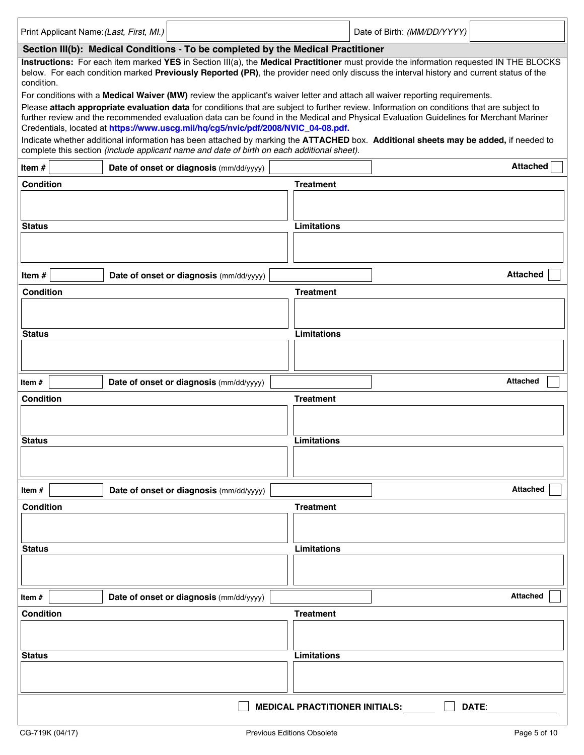| Print Applicant Name: (Last, First, MI.)                                                                                                                                                                                                                                                                                                                                                                                                                                                                                                                                                                                                                                                                                                                                                                                                                                                                                                                                                                                                                                                                                                                                                                       |                                                   |                                         |                                       | Date of Birth: (MM/DD/YYYY) |                 |  |  |  |  |
|----------------------------------------------------------------------------------------------------------------------------------------------------------------------------------------------------------------------------------------------------------------------------------------------------------------------------------------------------------------------------------------------------------------------------------------------------------------------------------------------------------------------------------------------------------------------------------------------------------------------------------------------------------------------------------------------------------------------------------------------------------------------------------------------------------------------------------------------------------------------------------------------------------------------------------------------------------------------------------------------------------------------------------------------------------------------------------------------------------------------------------------------------------------------------------------------------------------|---------------------------------------------------|-----------------------------------------|---------------------------------------|-----------------------------|-----------------|--|--|--|--|
|                                                                                                                                                                                                                                                                                                                                                                                                                                                                                                                                                                                                                                                                                                                                                                                                                                                                                                                                                                                                                                                                                                                                                                                                                |                                                   |                                         |                                       |                             |                 |  |  |  |  |
| Section III(b): Medical Conditions - To be completed by the Medical Practitioner<br>Instructions: For each item marked YES in Section III(a), the Medical Practitioner must provide the information requested IN THE BLOCKS<br>below. For each condition marked Previously Reported (PR), the provider need only discuss the interval history and current status of the<br>condition.<br>For conditions with a Medical Waiver (MW) review the applicant's waiver letter and attach all waiver reporting requirements.<br>Please attach appropriate evaluation data for conditions that are subject to further review. Information on conditions that are subject to<br>further review and the recommended evaluation data can be found in the Medical and Physical Evaluation Guidelines for Merchant Mariner<br>Credentials, located at https://www.uscg.mil/hq/cg5/nvic/pdf/2008/NVIC 04-08.pdf.<br>Indicate whether additional information has been attached by marking the ATTACHED box. Additional sheets may be added, if needed to<br>complete this section (include applicant name and date of birth on each additional sheet).<br><b>Attached</b><br>Item#<br>Date of onset or diagnosis (mm/dd/yyyy) |                                                   |                                         |                                       |                             |                 |  |  |  |  |
| <b>Condition</b>                                                                                                                                                                                                                                                                                                                                                                                                                                                                                                                                                                                                                                                                                                                                                                                                                                                                                                                                                                                                                                                                                                                                                                                               |                                                   |                                         | <b>Treatment</b>                      |                             |                 |  |  |  |  |
| <b>Status</b>                                                                                                                                                                                                                                                                                                                                                                                                                                                                                                                                                                                                                                                                                                                                                                                                                                                                                                                                                                                                                                                                                                                                                                                                  |                                                   |                                         | Limitations                           |                             |                 |  |  |  |  |
| Item#                                                                                                                                                                                                                                                                                                                                                                                                                                                                                                                                                                                                                                                                                                                                                                                                                                                                                                                                                                                                                                                                                                                                                                                                          |                                                   | Date of onset or diagnosis (mm/dd/yyyy) |                                       |                             | <b>Attached</b> |  |  |  |  |
| <b>Condition</b>                                                                                                                                                                                                                                                                                                                                                                                                                                                                                                                                                                                                                                                                                                                                                                                                                                                                                                                                                                                                                                                                                                                                                                                               |                                                   |                                         | <b>Treatment</b>                      |                             |                 |  |  |  |  |
| <b>Status</b>                                                                                                                                                                                                                                                                                                                                                                                                                                                                                                                                                                                                                                                                                                                                                                                                                                                                                                                                                                                                                                                                                                                                                                                                  |                                                   |                                         | Limitations                           |                             |                 |  |  |  |  |
| Item#                                                                                                                                                                                                                                                                                                                                                                                                                                                                                                                                                                                                                                                                                                                                                                                                                                                                                                                                                                                                                                                                                                                                                                                                          |                                                   | Date of onset or diagnosis (mm/dd/yyyy) |                                       |                             | <b>Attached</b> |  |  |  |  |
| <b>Condition</b>                                                                                                                                                                                                                                                                                                                                                                                                                                                                                                                                                                                                                                                                                                                                                                                                                                                                                                                                                                                                                                                                                                                                                                                               |                                                   |                                         | <b>Treatment</b>                      |                             |                 |  |  |  |  |
| <b>Status</b>                                                                                                                                                                                                                                                                                                                                                                                                                                                                                                                                                                                                                                                                                                                                                                                                                                                                                                                                                                                                                                                                                                                                                                                                  |                                                   |                                         | <b>Limitations</b>                    |                             |                 |  |  |  |  |
| Item $#$                                                                                                                                                                                                                                                                                                                                                                                                                                                                                                                                                                                                                                                                                                                                                                                                                                                                                                                                                                                                                                                                                                                                                                                                       |                                                   | Date of onset or diagnosis (mm/dd/yyyy) |                                       |                             | <b>Attached</b> |  |  |  |  |
| <b>Condition</b>                                                                                                                                                                                                                                                                                                                                                                                                                                                                                                                                                                                                                                                                                                                                                                                                                                                                                                                                                                                                                                                                                                                                                                                               |                                                   |                                         | <b>Treatment</b>                      |                             |                 |  |  |  |  |
| <b>Status</b>                                                                                                                                                                                                                                                                                                                                                                                                                                                                                                                                                                                                                                                                                                                                                                                                                                                                                                                                                                                                                                                                                                                                                                                                  |                                                   |                                         | Limitations                           |                             |                 |  |  |  |  |
| Item#                                                                                                                                                                                                                                                                                                                                                                                                                                                                                                                                                                                                                                                                                                                                                                                                                                                                                                                                                                                                                                                                                                                                                                                                          |                                                   | Date of onset or diagnosis (mm/dd/yyyy) |                                       |                             | <b>Attached</b> |  |  |  |  |
| Condition                                                                                                                                                                                                                                                                                                                                                                                                                                                                                                                                                                                                                                                                                                                                                                                                                                                                                                                                                                                                                                                                                                                                                                                                      |                                                   |                                         | <b>Treatment</b>                      |                             |                 |  |  |  |  |
| <b>Status</b>                                                                                                                                                                                                                                                                                                                                                                                                                                                                                                                                                                                                                                                                                                                                                                                                                                                                                                                                                                                                                                                                                                                                                                                                  |                                                   |                                         | <b>Limitations</b>                    |                             |                 |  |  |  |  |
|                                                                                                                                                                                                                                                                                                                                                                                                                                                                                                                                                                                                                                                                                                                                                                                                                                                                                                                                                                                                                                                                                                                                                                                                                |                                                   |                                         | <b>MEDICAL PRACTITIONER INITIALS:</b> |                             | DATE:           |  |  |  |  |
| CG-719K (04/17)                                                                                                                                                                                                                                                                                                                                                                                                                                                                                                                                                                                                                                                                                                                                                                                                                                                                                                                                                                                                                                                                                                                                                                                                | <b>Previous Editions Obsolete</b><br>Page 5 of 10 |                                         |                                       |                             |                 |  |  |  |  |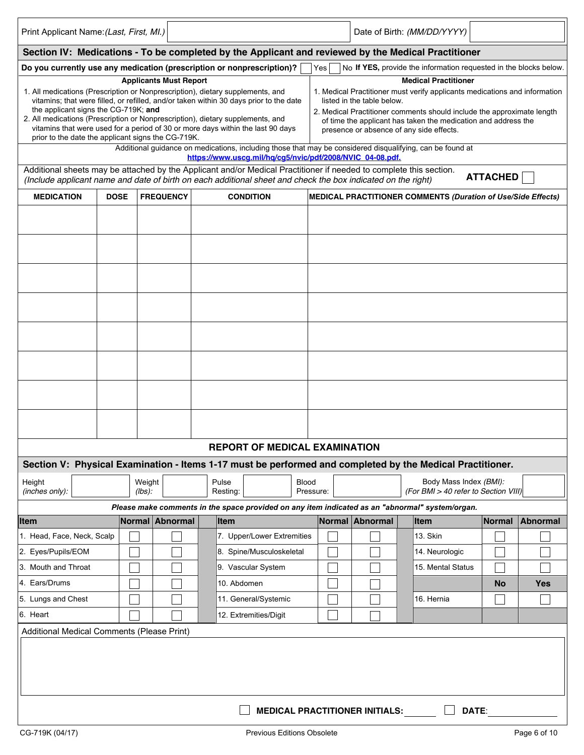| Print Applicant Name: (Last, First, MI.)                                                                                                                                                                                                                                                                                                                                              |             |                       |                               |                   |                                      |                                                                                                                                                                                                                                                                                                                                                                                                      |           |                                       | Date of Birth: (MM/DD/YYYY)                                                                     |           |              |
|---------------------------------------------------------------------------------------------------------------------------------------------------------------------------------------------------------------------------------------------------------------------------------------------------------------------------------------------------------------------------------------|-------------|-----------------------|-------------------------------|-------------------|--------------------------------------|------------------------------------------------------------------------------------------------------------------------------------------------------------------------------------------------------------------------------------------------------------------------------------------------------------------------------------------------------------------------------------------------------|-----------|---------------------------------------|-------------------------------------------------------------------------------------------------|-----------|--------------|
| Section IV: Medications - To be completed by the Applicant and reviewed by the Medical Practitioner                                                                                                                                                                                                                                                                                   |             |                       |                               |                   |                                      |                                                                                                                                                                                                                                                                                                                                                                                                      |           |                                       |                                                                                                 |           |              |
| Do you currently use any medication (prescription or nonprescription)?                                                                                                                                                                                                                                                                                                                |             |                       |                               |                   |                                      |                                                                                                                                                                                                                                                                                                                                                                                                      | Yes       |                                       |                                                                                                 |           |              |
| 1. All medications (Prescription or Nonprescription), dietary supplements, and<br>vitamins; that were filled, or refilled, and/or taken within 30 days prior to the date<br>the applicant signs the CG-719K; and<br>2. All medications (Prescription or Nonprescription), dietary supplements, and<br>vitamins that were used for a period of 30 or more days within the last 90 days |             |                       | <b>Applicants Must Report</b> |                   |                                      | No If YES, provide the information requested in the blocks below.<br><b>Medical Practitioner</b><br>1. Medical Practitioner must verify applicants medications and information<br>listed in the table below.<br>2. Medical Practitioner comments should include the approximate length<br>of time the applicant has taken the medication and address the<br>presence or absence of any side effects. |           |                                       |                                                                                                 |           |              |
| prior to the date the applicant signs the CG-719K.<br>Additional guidance on medications, including those that may be considered disqualifying, can be found at                                                                                                                                                                                                                       |             |                       |                               |                   |                                      |                                                                                                                                                                                                                                                                                                                                                                                                      |           |                                       |                                                                                                 |           |              |
| https://www.uscg.mil/hq/cg5/nvic/pdf/2008/NVIC_04-08.pdf.<br>Additional sheets may be attached by the Applicant and/or Medical Practitioner if needed to complete this section.<br><b>ATTACHED</b><br>(Include applicant name and date of birth on each additional sheet and check the box indicated on the right)                                                                    |             |                       |                               |                   |                                      |                                                                                                                                                                                                                                                                                                                                                                                                      |           |                                       |                                                                                                 |           |              |
| <b>MEDICATION</b>                                                                                                                                                                                                                                                                                                                                                                     | <b>DOSE</b> |                       | <b>FREQUENCY</b>              |                   | <b>CONDITION</b>                     |                                                                                                                                                                                                                                                                                                                                                                                                      |           |                                       | MEDICAL PRACTITIONER COMMENTS (Duration of Use/Side Effects)                                    |           |              |
|                                                                                                                                                                                                                                                                                                                                                                                       |             |                       |                               |                   |                                      |                                                                                                                                                                                                                                                                                                                                                                                                      |           |                                       |                                                                                                 |           |              |
|                                                                                                                                                                                                                                                                                                                                                                                       |             |                       |                               |                   |                                      |                                                                                                                                                                                                                                                                                                                                                                                                      |           |                                       |                                                                                                 |           |              |
|                                                                                                                                                                                                                                                                                                                                                                                       |             |                       |                               |                   |                                      |                                                                                                                                                                                                                                                                                                                                                                                                      |           |                                       |                                                                                                 |           |              |
|                                                                                                                                                                                                                                                                                                                                                                                       |             |                       |                               |                   |                                      |                                                                                                                                                                                                                                                                                                                                                                                                      |           |                                       |                                                                                                 |           |              |
|                                                                                                                                                                                                                                                                                                                                                                                       |             |                       |                               |                   |                                      |                                                                                                                                                                                                                                                                                                                                                                                                      |           |                                       |                                                                                                 |           |              |
|                                                                                                                                                                                                                                                                                                                                                                                       |             |                       |                               |                   |                                      |                                                                                                                                                                                                                                                                                                                                                                                                      |           |                                       |                                                                                                 |           |              |
|                                                                                                                                                                                                                                                                                                                                                                                       |             |                       |                               |                   |                                      |                                                                                                                                                                                                                                                                                                                                                                                                      |           |                                       |                                                                                                 |           |              |
|                                                                                                                                                                                                                                                                                                                                                                                       |             |                       |                               |                   |                                      |                                                                                                                                                                                                                                                                                                                                                                                                      |           |                                       |                                                                                                 |           |              |
|                                                                                                                                                                                                                                                                                                                                                                                       |             |                       |                               |                   |                                      |                                                                                                                                                                                                                                                                                                                                                                                                      |           |                                       |                                                                                                 |           |              |
|                                                                                                                                                                                                                                                                                                                                                                                       |             |                       |                               |                   |                                      |                                                                                                                                                                                                                                                                                                                                                                                                      |           |                                       |                                                                                                 |           |              |
|                                                                                                                                                                                                                                                                                                                                                                                       |             |                       |                               |                   | <b>REPORT OF MEDICAL EXAMINATION</b> |                                                                                                                                                                                                                                                                                                                                                                                                      |           |                                       |                                                                                                 |           |              |
| Section V: Physical Examination - Items 1-17 must be performed and completed by the Medical Practitioner.                                                                                                                                                                                                                                                                             |             |                       |                               |                   |                                      |                                                                                                                                                                                                                                                                                                                                                                                                      |           |                                       |                                                                                                 |           |              |
| Height<br>(inches only):                                                                                                                                                                                                                                                                                                                                                              |             |                       | Weight<br>$(lbs)$ :           | Pulse<br>Resting: |                                      | Blood                                                                                                                                                                                                                                                                                                                                                                                                | Pressure: |                                       | Body Mass Index (BMI):<br>(For BMI > 40 refer to Section VIII)                                  |           |              |
|                                                                                                                                                                                                                                                                                                                                                                                       |             |                       |                               |                   |                                      |                                                                                                                                                                                                                                                                                                                                                                                                      |           |                                       | Please make comments in the space provided on any item indicated as an "abnormal" system/organ. |           |              |
| <b>Item</b>                                                                                                                                                                                                                                                                                                                                                                           |             |                       | Normal Abnormal               | <b>Item</b>       |                                      |                                                                                                                                                                                                                                                                                                                                                                                                      |           | Normal Abnormal                       | <b>Item</b>                                                                                     | Normal    | Abnormal     |
| 1. Head, Face, Neck, Scalp                                                                                                                                                                                                                                                                                                                                                            |             |                       |                               |                   | 7. Upper/Lower Extremities           |                                                                                                                                                                                                                                                                                                                                                                                                      |           |                                       | 13. Skin                                                                                        |           |              |
| 2. Eyes/Pupils/EOM                                                                                                                                                                                                                                                                                                                                                                    |             |                       |                               |                   | 8. Spine/Musculoskeletal             |                                                                                                                                                                                                                                                                                                                                                                                                      |           |                                       | 14. Neurologic                                                                                  |           |              |
| 3. Mouth and Throat                                                                                                                                                                                                                                                                                                                                                                   |             |                       |                               |                   | 9. Vascular System                   |                                                                                                                                                                                                                                                                                                                                                                                                      |           |                                       | 15. Mental Status                                                                               |           |              |
| 4. Ears/Drums                                                                                                                                                                                                                                                                                                                                                                         |             |                       |                               | 10. Abdomen       |                                      |                                                                                                                                                                                                                                                                                                                                                                                                      |           |                                       |                                                                                                 | <b>No</b> | <b>Yes</b>   |
| 5. Lungs and Chest                                                                                                                                                                                                                                                                                                                                                                    |             |                       |                               |                   | 11. General/Systemic                 |                                                                                                                                                                                                                                                                                                                                                                                                      |           |                                       | 16. Hernia                                                                                      |           |              |
| 6. Heart                                                                                                                                                                                                                                                                                                                                                                              |             | 12. Extremities/Digit |                               |                   |                                      |                                                                                                                                                                                                                                                                                                                                                                                                      |           |                                       |                                                                                                 |           |              |
| Additional Medical Comments (Please Print)                                                                                                                                                                                                                                                                                                                                            |             |                       |                               |                   |                                      |                                                                                                                                                                                                                                                                                                                                                                                                      |           |                                       |                                                                                                 |           |              |
|                                                                                                                                                                                                                                                                                                                                                                                       |             |                       |                               |                   |                                      |                                                                                                                                                                                                                                                                                                                                                                                                      |           | <b>MEDICAL PRACTITIONER INITIALS:</b> |                                                                                                 | DATE:     |              |
| CG-719K (04/17)                                                                                                                                                                                                                                                                                                                                                                       |             |                       |                               |                   | <b>Previous Editions Obsolete</b>    |                                                                                                                                                                                                                                                                                                                                                                                                      |           |                                       |                                                                                                 |           | Page 6 of 10 |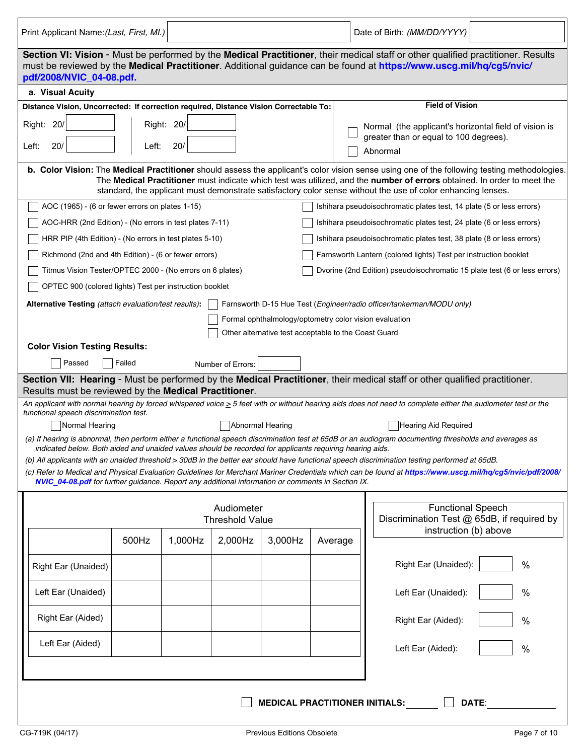| Print Applicant Name: (Last, First, MI.)                                                                                                                                                                                                                                            |            |         |                                      |                                                        |         |  | Date of Birth: (MM/DD/YYYY)                                                                                                                                                                                                             |   |  |  |  |  |
|-------------------------------------------------------------------------------------------------------------------------------------------------------------------------------------------------------------------------------------------------------------------------------------|------------|---------|--------------------------------------|--------------------------------------------------------|---------|--|-----------------------------------------------------------------------------------------------------------------------------------------------------------------------------------------------------------------------------------------|---|--|--|--|--|
| Section VI: Vision - Must be performed by the Medical Practitioner, their medical staff or other qualified practitioner. Results<br>must be reviewed by the Medical Practitioner. Additional guidance can be found at https://www.uscg.mil/hq/cg5/nvic/<br>pdf/2008/NVIC_04-08.pdf. |            |         |                                      |                                                        |         |  |                                                                                                                                                                                                                                         |   |  |  |  |  |
| a. Visual Acuity                                                                                                                                                                                                                                                                    |            |         |                                      |                                                        |         |  |                                                                                                                                                                                                                                         |   |  |  |  |  |
| Distance Vision, Uncorrected: If correction required, Distance Vision Correctable To:                                                                                                                                                                                               |            |         |                                      |                                                        |         |  | <b>Field of Vision</b>                                                                                                                                                                                                                  |   |  |  |  |  |
| Right: 20/                                                                                                                                                                                                                                                                          | Right: 20/ |         |                                      |                                                        |         |  |                                                                                                                                                                                                                                         |   |  |  |  |  |
| Normal (the applicant's horizontal field of vision is<br>greater than or equal to 100 degrees).<br>20/<br>Left:<br>Left:<br>20/<br>Abnormal                                                                                                                                         |            |         |                                      |                                                        |         |  |                                                                                                                                                                                                                                         |   |  |  |  |  |
| b. Color Vision: The Medical Practitioner should assess the applicant's color vision sense using one of the following testing methodologies.                                                                                                                                        |            |         |                                      |                                                        |         |  |                                                                                                                                                                                                                                         |   |  |  |  |  |
|                                                                                                                                                                                                                                                                                     |            |         |                                      |                                                        |         |  | The Medical Practitioner must indicate which test was utilized, and the number of errors obtained. In order to meet the<br>standard, the applicant must demonstrate satisfactory color sense without the use of color enhancing lenses. |   |  |  |  |  |
| AOC (1965) - (6 or fewer errors on plates 1-15)                                                                                                                                                                                                                                     |            |         |                                      |                                                        |         |  | Ishihara pseudoisochromatic plates test, 14 plate (5 or less errors)                                                                                                                                                                    |   |  |  |  |  |
| AOC-HRR (2nd Edition) - (No errors in test plates 7-11)                                                                                                                                                                                                                             |            |         |                                      |                                                        |         |  | Ishihara pseudoisochromatic plates test, 24 plate (6 or less errors)                                                                                                                                                                    |   |  |  |  |  |
| HRR PIP (4th Edition) - (No errors in test plates 5-10)                                                                                                                                                                                                                             |            |         |                                      |                                                        |         |  | Ishihara pseudoisochromatic plates test, 38 plate (8 or less errors)                                                                                                                                                                    |   |  |  |  |  |
| Richmond (2nd and 4th Edition) - (6 or fewer errors)                                                                                                                                                                                                                                |            |         |                                      |                                                        |         |  | Farnsworth Lantern (colored lights) Test per instruction booklet                                                                                                                                                                        |   |  |  |  |  |
| Titmus Vision Tester/OPTEC 2000 - (No errors on 6 plates)                                                                                                                                                                                                                           |            |         |                                      |                                                        |         |  | Dvorine (2nd Edition) pseudoisochromatic 15 plate test (6 or less errors)                                                                                                                                                               |   |  |  |  |  |
| OPTEC 900 (colored lights) Test per instruction booklet                                                                                                                                                                                                                             |            |         |                                      |                                                        |         |  |                                                                                                                                                                                                                                         |   |  |  |  |  |
| Alternative Testing (attach evaluation/test results):                                                                                                                                                                                                                               |            |         |                                      |                                                        |         |  | Farnsworth D-15 Hue Test (Engineer/radio officer/tankerman/MODU only)                                                                                                                                                                   |   |  |  |  |  |
|                                                                                                                                                                                                                                                                                     |            |         |                                      | Formal ophthalmology/optometry color vision evaluation |         |  |                                                                                                                                                                                                                                         |   |  |  |  |  |
|                                                                                                                                                                                                                                                                                     |            |         |                                      | Other alternative test acceptable to the Coast Guard   |         |  |                                                                                                                                                                                                                                         |   |  |  |  |  |
| <b>Color Vision Testing Results:</b>                                                                                                                                                                                                                                                |            |         |                                      |                                                        |         |  |                                                                                                                                                                                                                                         |   |  |  |  |  |
| Passed                                                                                                                                                                                                                                                                              | Failed     |         | Number of Errors:                    |                                                        |         |  |                                                                                                                                                                                                                                         |   |  |  |  |  |
| Results must be reviewed by the Medical Practitioner.                                                                                                                                                                                                                               |            |         |                                      |                                                        |         |  | Section VII: Hearing - Must be performed by the Medical Practitioner, their medical staff or other qualified practitioner.                                                                                                              |   |  |  |  |  |
|                                                                                                                                                                                                                                                                                     |            |         |                                      |                                                        |         |  | An applicant with normal hearing by forced whispered voice $\geq 5$ feet with or without hearing aids does not need to complete either the audiometer test or the                                                                       |   |  |  |  |  |
| functional speech discrimination test.                                                                                                                                                                                                                                              |            |         |                                      |                                                        |         |  |                                                                                                                                                                                                                                         |   |  |  |  |  |
| Normal Hearing                                                                                                                                                                                                                                                                      |            |         |                                      | Abnormal Hearing                                       |         |  | Hearing Aid Required<br>(a) If hearing is abnormal, then perform either a functional speech discrimination test at 65dB or an audiogram documenting thresholds and averages as                                                          |   |  |  |  |  |
| indicated below. Both aided and unaided values should be recorded for applicants requiring hearing aids.                                                                                                                                                                            |            |         |                                      |                                                        |         |  |                                                                                                                                                                                                                                         |   |  |  |  |  |
|                                                                                                                                                                                                                                                                                     |            |         |                                      |                                                        |         |  | (b) All applicants with an unaided threshold > 30dB in the better ear should have functional speech discrimination testing performed at 65dB.                                                                                           |   |  |  |  |  |
| NVIC_04-08.pdf for further guidance. Report any additional information or comments in Section IX.                                                                                                                                                                                   |            |         |                                      |                                                        |         |  | (c) Refer to Medical and Physical Evaluation Guidelines for Merchant Mariner Credentials which can be found at https://www.uscg.mil/hq/cg5/nvic/pdf/2008/                                                                               |   |  |  |  |  |
|                                                                                                                                                                                                                                                                                     |            |         |                                      |                                                        |         |  |                                                                                                                                                                                                                                         |   |  |  |  |  |
|                                                                                                                                                                                                                                                                                     |            |         | Audiometer<br><b>Threshold Value</b> |                                                        |         |  | <b>Functional Speech</b><br>Discrimination Test @ 65dB, if required by                                                                                                                                                                  |   |  |  |  |  |
|                                                                                                                                                                                                                                                                                     | 500Hz      | 1,000Hz | 2,000Hz                              | 3,000Hz                                                | Average |  | instruction (b) above                                                                                                                                                                                                                   |   |  |  |  |  |
|                                                                                                                                                                                                                                                                                     |            |         |                                      |                                                        |         |  |                                                                                                                                                                                                                                         |   |  |  |  |  |
| Right Ear (Unaided)                                                                                                                                                                                                                                                                 |            |         |                                      |                                                        |         |  | Right Ear (Unaided):                                                                                                                                                                                                                    | % |  |  |  |  |
| Left Ear (Unaided)                                                                                                                                                                                                                                                                  |            |         |                                      |                                                        |         |  | Left Ear (Unaided):                                                                                                                                                                                                                     | % |  |  |  |  |
|                                                                                                                                                                                                                                                                                     |            |         |                                      |                                                        |         |  |                                                                                                                                                                                                                                         |   |  |  |  |  |
| Right Ear (Aided)                                                                                                                                                                                                                                                                   |            |         |                                      |                                                        |         |  | Right Ear (Aided):                                                                                                                                                                                                                      | % |  |  |  |  |
| Left Ear (Aided)                                                                                                                                                                                                                                                                    |            |         |                                      |                                                        |         |  | Left Ear (Aided):                                                                                                                                                                                                                       | % |  |  |  |  |
|                                                                                                                                                                                                                                                                                     |            |         |                                      |                                                        |         |  |                                                                                                                                                                                                                                         |   |  |  |  |  |
|                                                                                                                                                                                                                                                                                     |            |         |                                      |                                                        |         |  |                                                                                                                                                                                                                                         |   |  |  |  |  |
|                                                                                                                                                                                                                                                                                     |            |         |                                      | <b>MEDICAL PRACTITIONER INITIALS:</b>                  |         |  | DATE:                                                                                                                                                                                                                                   |   |  |  |  |  |
|                                                                                                                                                                                                                                                                                     |            |         |                                      |                                                        |         |  |                                                                                                                                                                                                                                         |   |  |  |  |  |
| CG-719K (04/17)<br>Previous Editions Obsolete<br>Page 7 of 10                                                                                                                                                                                                                       |            |         |                                      |                                                        |         |  |                                                                                                                                                                                                                                         |   |  |  |  |  |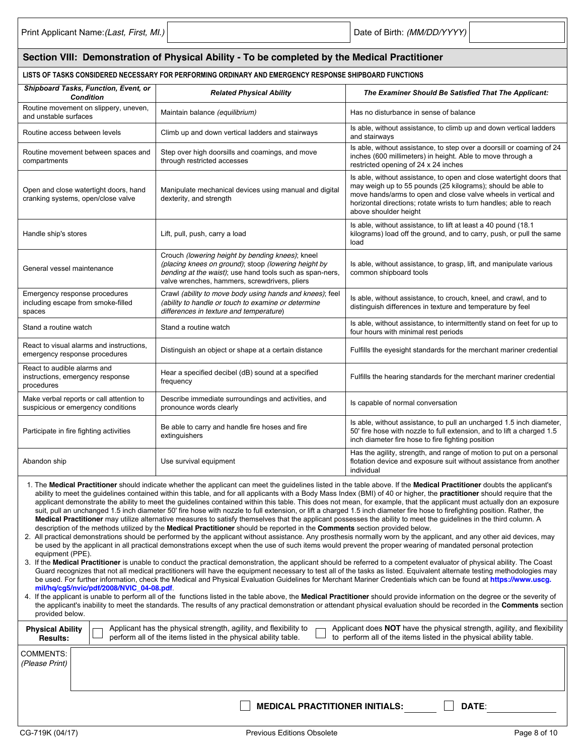| Section VIII: Demonstration of Physical Ability - To be completed by the Medical Practitioner                                                                                                                                                                                                                                                                                                                                                                                                                                                                                                                                                                                                                                                                                                                                                                                                                                                                                                                                                                                                                                                                                                                                                                                                                                                                                                                                                                                                                                                                                                                                                                                                                                                                                                                                                                                                                                                                                                                                                                                                                                                                                                                                                                                                                                                                                                                                                                                                                                                                                                                                                                                                              |                                                                                                                                                                                                                       |                                                                                                                                                                                                                                                                                                       |  |  |  |  |  |  |
|------------------------------------------------------------------------------------------------------------------------------------------------------------------------------------------------------------------------------------------------------------------------------------------------------------------------------------------------------------------------------------------------------------------------------------------------------------------------------------------------------------------------------------------------------------------------------------------------------------------------------------------------------------------------------------------------------------------------------------------------------------------------------------------------------------------------------------------------------------------------------------------------------------------------------------------------------------------------------------------------------------------------------------------------------------------------------------------------------------------------------------------------------------------------------------------------------------------------------------------------------------------------------------------------------------------------------------------------------------------------------------------------------------------------------------------------------------------------------------------------------------------------------------------------------------------------------------------------------------------------------------------------------------------------------------------------------------------------------------------------------------------------------------------------------------------------------------------------------------------------------------------------------------------------------------------------------------------------------------------------------------------------------------------------------------------------------------------------------------------------------------------------------------------------------------------------------------------------------------------------------------------------------------------------------------------------------------------------------------------------------------------------------------------------------------------------------------------------------------------------------------------------------------------------------------------------------------------------------------------------------------------------------------------------------------------------------------|-----------------------------------------------------------------------------------------------------------------------------------------------------------------------------------------------------------------------|-------------------------------------------------------------------------------------------------------------------------------------------------------------------------------------------------------------------------------------------------------------------------------------------------------|--|--|--|--|--|--|
| LISTS OF TASKS CONSIDERED NECESSARY FOR PERFORMING ORDINARY AND EMERGENCY RESPONSE SHIPBOARD FUNCTIONS                                                                                                                                                                                                                                                                                                                                                                                                                                                                                                                                                                                                                                                                                                                                                                                                                                                                                                                                                                                                                                                                                                                                                                                                                                                                                                                                                                                                                                                                                                                                                                                                                                                                                                                                                                                                                                                                                                                                                                                                                                                                                                                                                                                                                                                                                                                                                                                                                                                                                                                                                                                                     |                                                                                                                                                                                                                       |                                                                                                                                                                                                                                                                                                       |  |  |  |  |  |  |
| Shipboard Tasks, Function, Event, or<br><b>Condition</b>                                                                                                                                                                                                                                                                                                                                                                                                                                                                                                                                                                                                                                                                                                                                                                                                                                                                                                                                                                                                                                                                                                                                                                                                                                                                                                                                                                                                                                                                                                                                                                                                                                                                                                                                                                                                                                                                                                                                                                                                                                                                                                                                                                                                                                                                                                                                                                                                                                                                                                                                                                                                                                                   | <b>Related Physical Ability</b>                                                                                                                                                                                       | The Examiner Should Be Satisfied That The Applicant:                                                                                                                                                                                                                                                  |  |  |  |  |  |  |
| Routine movement on slippery, uneven,<br>and unstable surfaces                                                                                                                                                                                                                                                                                                                                                                                                                                                                                                                                                                                                                                                                                                                                                                                                                                                                                                                                                                                                                                                                                                                                                                                                                                                                                                                                                                                                                                                                                                                                                                                                                                                                                                                                                                                                                                                                                                                                                                                                                                                                                                                                                                                                                                                                                                                                                                                                                                                                                                                                                                                                                                             | Maintain balance (equilibrium)                                                                                                                                                                                        | Has no disturbance in sense of balance                                                                                                                                                                                                                                                                |  |  |  |  |  |  |
| Routine access between levels                                                                                                                                                                                                                                                                                                                                                                                                                                                                                                                                                                                                                                                                                                                                                                                                                                                                                                                                                                                                                                                                                                                                                                                                                                                                                                                                                                                                                                                                                                                                                                                                                                                                                                                                                                                                                                                                                                                                                                                                                                                                                                                                                                                                                                                                                                                                                                                                                                                                                                                                                                                                                                                                              | Climb up and down vertical ladders and stairways                                                                                                                                                                      | Is able, without assistance, to climb up and down vertical ladders<br>and stairways                                                                                                                                                                                                                   |  |  |  |  |  |  |
| Routine movement between spaces and<br>compartments                                                                                                                                                                                                                                                                                                                                                                                                                                                                                                                                                                                                                                                                                                                                                                                                                                                                                                                                                                                                                                                                                                                                                                                                                                                                                                                                                                                                                                                                                                                                                                                                                                                                                                                                                                                                                                                                                                                                                                                                                                                                                                                                                                                                                                                                                                                                                                                                                                                                                                                                                                                                                                                        | Step over high doorsills and coamings, and move<br>through restricted accesses                                                                                                                                        | Is able, without assistance, to step over a doorsill or coaming of 24<br>inches (600 millimeters) in height. Able to move through a<br>restricted opening of 24 x 24 inches                                                                                                                           |  |  |  |  |  |  |
| Open and close watertight doors, hand<br>cranking systems, open/close valve                                                                                                                                                                                                                                                                                                                                                                                                                                                                                                                                                                                                                                                                                                                                                                                                                                                                                                                                                                                                                                                                                                                                                                                                                                                                                                                                                                                                                                                                                                                                                                                                                                                                                                                                                                                                                                                                                                                                                                                                                                                                                                                                                                                                                                                                                                                                                                                                                                                                                                                                                                                                                                | Manipulate mechanical devices using manual and digital<br>dexterity, and strength                                                                                                                                     | Is able, without assistance, to open and close watertight doors that<br>may weigh up to 55 pounds (25 kilograms); should be able to<br>move hands/arms to open and close valve wheels in vertical and<br>horizontal directions; rotate wrists to turn handles; able to reach<br>above shoulder height |  |  |  |  |  |  |
| Is able, without assistance, to lift at least a 40 pound (18.1)<br>kilograms) load off the ground, and to carry, push, or pull the same<br>Lift, pull, push, carry a load<br>Handle ship's stores<br>load                                                                                                                                                                                                                                                                                                                                                                                                                                                                                                                                                                                                                                                                                                                                                                                                                                                                                                                                                                                                                                                                                                                                                                                                                                                                                                                                                                                                                                                                                                                                                                                                                                                                                                                                                                                                                                                                                                                                                                                                                                                                                                                                                                                                                                                                                                                                                                                                                                                                                                  |                                                                                                                                                                                                                       |                                                                                                                                                                                                                                                                                                       |  |  |  |  |  |  |
| General vessel maintenance                                                                                                                                                                                                                                                                                                                                                                                                                                                                                                                                                                                                                                                                                                                                                                                                                                                                                                                                                                                                                                                                                                                                                                                                                                                                                                                                                                                                                                                                                                                                                                                                                                                                                                                                                                                                                                                                                                                                                                                                                                                                                                                                                                                                                                                                                                                                                                                                                                                                                                                                                                                                                                                                                 | Crouch (lowering height by bending knees); kneel<br>(placing knees on ground); stoop (lowering height by<br>bending at the waist); use hand tools such as span-ners,<br>valve wrenches, hammers, screwdrivers, pliers | Is able, without assistance, to grasp, lift, and manipulate various<br>common shipboard tools                                                                                                                                                                                                         |  |  |  |  |  |  |
| Emergency response procedures<br>including escape from smoke-filled<br>spaces                                                                                                                                                                                                                                                                                                                                                                                                                                                                                                                                                                                                                                                                                                                                                                                                                                                                                                                                                                                                                                                                                                                                                                                                                                                                                                                                                                                                                                                                                                                                                                                                                                                                                                                                                                                                                                                                                                                                                                                                                                                                                                                                                                                                                                                                                                                                                                                                                                                                                                                                                                                                                              | Crawl (ability to move body using hands and knees); feel<br>(ability to handle or touch to examine or determine<br>differences in texture and temperature)                                                            | Is able, without assistance, to crouch, kneel, and crawl, and to<br>distinguish differences in texture and temperature by feel                                                                                                                                                                        |  |  |  |  |  |  |
| Stand a routine watch                                                                                                                                                                                                                                                                                                                                                                                                                                                                                                                                                                                                                                                                                                                                                                                                                                                                                                                                                                                                                                                                                                                                                                                                                                                                                                                                                                                                                                                                                                                                                                                                                                                                                                                                                                                                                                                                                                                                                                                                                                                                                                                                                                                                                                                                                                                                                                                                                                                                                                                                                                                                                                                                                      | Stand a routine watch                                                                                                                                                                                                 | Is able, without assistance, to intermittently stand on feet for up to<br>four hours with minimal rest periods                                                                                                                                                                                        |  |  |  |  |  |  |
| React to visual alarms and instructions,<br>emergency response procedures                                                                                                                                                                                                                                                                                                                                                                                                                                                                                                                                                                                                                                                                                                                                                                                                                                                                                                                                                                                                                                                                                                                                                                                                                                                                                                                                                                                                                                                                                                                                                                                                                                                                                                                                                                                                                                                                                                                                                                                                                                                                                                                                                                                                                                                                                                                                                                                                                                                                                                                                                                                                                                  | Distinguish an object or shape at a certain distance                                                                                                                                                                  | Fulfills the eyesight standards for the merchant mariner credential                                                                                                                                                                                                                                   |  |  |  |  |  |  |
| React to audible alarms and<br>instructions, emergency response<br>procedures                                                                                                                                                                                                                                                                                                                                                                                                                                                                                                                                                                                                                                                                                                                                                                                                                                                                                                                                                                                                                                                                                                                                                                                                                                                                                                                                                                                                                                                                                                                                                                                                                                                                                                                                                                                                                                                                                                                                                                                                                                                                                                                                                                                                                                                                                                                                                                                                                                                                                                                                                                                                                              | Hear a specified decibel (dB) sound at a specified<br>frequency                                                                                                                                                       | Fulfills the hearing standards for the merchant mariner credential                                                                                                                                                                                                                                    |  |  |  |  |  |  |
| Make verbal reports or call attention to<br>suspicious or emergency conditions                                                                                                                                                                                                                                                                                                                                                                                                                                                                                                                                                                                                                                                                                                                                                                                                                                                                                                                                                                                                                                                                                                                                                                                                                                                                                                                                                                                                                                                                                                                                                                                                                                                                                                                                                                                                                                                                                                                                                                                                                                                                                                                                                                                                                                                                                                                                                                                                                                                                                                                                                                                                                             | Describe immediate surroundings and activities, and<br>pronounce words clearly                                                                                                                                        | Is capable of normal conversation                                                                                                                                                                                                                                                                     |  |  |  |  |  |  |
| Participate in fire fighting activities                                                                                                                                                                                                                                                                                                                                                                                                                                                                                                                                                                                                                                                                                                                                                                                                                                                                                                                                                                                                                                                                                                                                                                                                                                                                                                                                                                                                                                                                                                                                                                                                                                                                                                                                                                                                                                                                                                                                                                                                                                                                                                                                                                                                                                                                                                                                                                                                                                                                                                                                                                                                                                                                    | Be able to carry and handle fire hoses and fire<br>extinguishers                                                                                                                                                      | Is able, without assistance, to pull an uncharged 1.5 inch diameter,<br>50' fire hose with nozzle to full extension, and to lift a charged 1.5<br>inch diameter fire hose to fire fighting position                                                                                                   |  |  |  |  |  |  |
| Abandon ship                                                                                                                                                                                                                                                                                                                                                                                                                                                                                                                                                                                                                                                                                                                                                                                                                                                                                                                                                                                                                                                                                                                                                                                                                                                                                                                                                                                                                                                                                                                                                                                                                                                                                                                                                                                                                                                                                                                                                                                                                                                                                                                                                                                                                                                                                                                                                                                                                                                                                                                                                                                                                                                                                               | Use survival equipment                                                                                                                                                                                                | Has the agility, strength, and range of motion to put on a personal<br>flotation device and exposure suit without assistance from another<br>individual                                                                                                                                               |  |  |  |  |  |  |
| 1. The Medical Practitioner should indicate whether the applicant can meet the guidelines listed in the table above. If the Medical Practitioner doubts the applicant's<br>ability to meet the guidelines contained within this table, and for all applicants with a Body Mass Index (BMI) of 40 or higher, the practitioner should require that the<br>applicant demonstrate the ability to meet the quidelines contained within this table. This does not mean, for example, that the applicant must actually don an exposure<br>suit, pull an unchanged 1.5 inch diameter 50' fire hose with nozzle to full extension, or lift a charged 1.5 inch diameter fire hose to firefighting position. Rather, the<br>Medical Practitioner may utilize alternative measures to satisfy themselves that the applicant possesses the ability to meet the guidelines in the third column. A<br>description of the methods utilized by the <b>Medical Practitioner</b> should be reported in the <b>Comments</b> section provided below.<br>2. All practical demonstrations should be performed by the applicant without assistance. Any prosthesis normally worn by the applicant, and any other aid devices, may<br>be used by the applicant in all practical demonstrations except when the use of such items would prevent the proper wearing of mandated personal protection<br>equipment (PPE).<br>3. If the Medical Practitioner is unable to conduct the practical demonstration, the applicant should be referred to a competent evaluator of physical ability. The Coast<br>Guard recognizes that not all medical practitioners will have the equipment necessary to test all of the tasks as listed. Equivalent alternate testing methodologies may<br>be used. For further information, check the Medical and Physical Evaluation Guidelines for Merchant Mariner Credentials which can be found at https://www.uscg.<br>mil/hq/cq5/nvic/pdf/2008/NVIC 04-08.pdf<br>4. If the applicant is unable to perform all of the functions listed in the table above, the Medical Practitioner should provide information on the degree or the severity of<br>the applicant's inability to meet the standards. The results of any practical demonstration or attendant physical evaluation should be recorded in the Comments section<br>provided below.<br>Applicant has the physical strength, agility, and flexibility to<br>Applicant does NOT have the physical strength, agility, and flexibility<br><b>Physical Ability</b><br>to perform all of the items listed in the physical ability table.<br>perform all of the items listed in the physical ability table.<br><b>Results:</b><br><b>COMMENTS:</b> |                                                                                                                                                                                                                       |                                                                                                                                                                                                                                                                                                       |  |  |  |  |  |  |
| (Please Print)                                                                                                                                                                                                                                                                                                                                                                                                                                                                                                                                                                                                                                                                                                                                                                                                                                                                                                                                                                                                                                                                                                                                                                                                                                                                                                                                                                                                                                                                                                                                                                                                                                                                                                                                                                                                                                                                                                                                                                                                                                                                                                                                                                                                                                                                                                                                                                                                                                                                                                                                                                                                                                                                                             |                                                                                                                                                                                                                       |                                                                                                                                                                                                                                                                                                       |  |  |  |  |  |  |
|                                                                                                                                                                                                                                                                                                                                                                                                                                                                                                                                                                                                                                                                                                                                                                                                                                                                                                                                                                                                                                                                                                                                                                                                                                                                                                                                                                                                                                                                                                                                                                                                                                                                                                                                                                                                                                                                                                                                                                                                                                                                                                                                                                                                                                                                                                                                                                                                                                                                                                                                                                                                                                                                                                            | <b>MEDICAL PRACTITIONER INITIALS:</b>                                                                                                                                                                                 | DATE:                                                                                                                                                                                                                                                                                                 |  |  |  |  |  |  |
| CG-719K (04/17)                                                                                                                                                                                                                                                                                                                                                                                                                                                                                                                                                                                                                                                                                                                                                                                                                                                                                                                                                                                                                                                                                                                                                                                                                                                                                                                                                                                                                                                                                                                                                                                                                                                                                                                                                                                                                                                                                                                                                                                                                                                                                                                                                                                                                                                                                                                                                                                                                                                                                                                                                                                                                                                                                            | <b>Previous Editions Obsolete</b>                                                                                                                                                                                     | Page 8 of 10                                                                                                                                                                                                                                                                                          |  |  |  |  |  |  |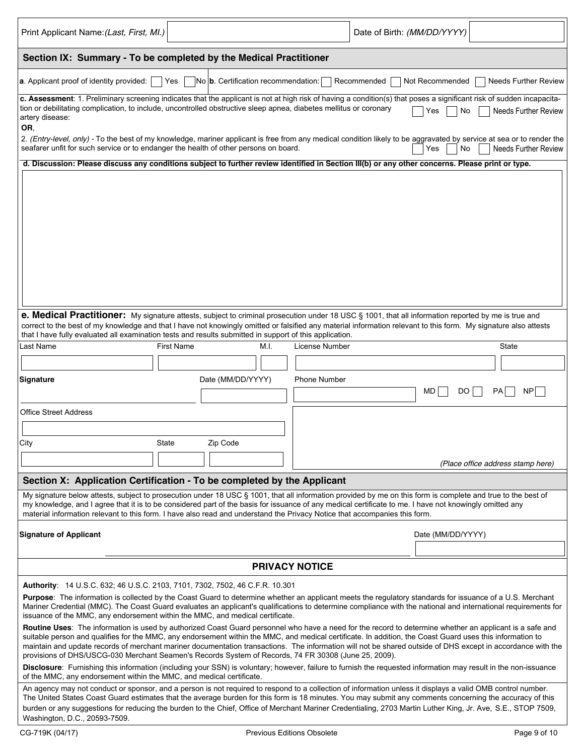| Print Applicant Name: (Last, First, MI.)                                                                                                                                                                                                                                                                                                                                                                                                                                                                                                                                                                                                                                                                                                                                                                                                                                                                                                                                             |                                                                                                                                                                                                                                                                                                                                                                                                                                                                                                                                                                 |                   |      |                       | Date of Birth: (MM/DD/YYYY) |                   |                                   |  |  |  |  |
|--------------------------------------------------------------------------------------------------------------------------------------------------------------------------------------------------------------------------------------------------------------------------------------------------------------------------------------------------------------------------------------------------------------------------------------------------------------------------------------------------------------------------------------------------------------------------------------------------------------------------------------------------------------------------------------------------------------------------------------------------------------------------------------------------------------------------------------------------------------------------------------------------------------------------------------------------------------------------------------|-----------------------------------------------------------------------------------------------------------------------------------------------------------------------------------------------------------------------------------------------------------------------------------------------------------------------------------------------------------------------------------------------------------------------------------------------------------------------------------------------------------------------------------------------------------------|-------------------|------|-----------------------|-----------------------------|-------------------|-----------------------------------|--|--|--|--|
| Section IX: Summary - To be completed by the Medical Practitioner                                                                                                                                                                                                                                                                                                                                                                                                                                                                                                                                                                                                                                                                                                                                                                                                                                                                                                                    |                                                                                                                                                                                                                                                                                                                                                                                                                                                                                                                                                                 |                   |      |                       |                             |                   |                                   |  |  |  |  |
| a. Applicant proof of identity provided:<br>No b. Certification recommendation:<br>Yes<br>Recommended<br><b>Needs Further Review</b><br>Not Recommended                                                                                                                                                                                                                                                                                                                                                                                                                                                                                                                                                                                                                                                                                                                                                                                                                              |                                                                                                                                                                                                                                                                                                                                                                                                                                                                                                                                                                 |                   |      |                       |                             |                   |                                   |  |  |  |  |
| c. Assessment: 1. Preliminary screening indicates that the applicant is not at high risk of having a condition(s) that poses a significant risk of sudden incapacita-<br>tion or debilitating complication, to include, uncontrolled obstructive sleep apnea, diabetes mellitus or coronary<br>Needs Further Review<br>No<br>Yes<br>artery disease:<br>OR,<br>2. (Entry-level, only) - To the best of my knowledge, mariner applicant is free from any medical condition likely to be aggravated by service at sea or to render the<br>seafarer unfit for such service or to endanger the health of other persons on board.<br><b>Needs Further Review</b><br>Yes<br>No                                                                                                                                                                                                                                                                                                              |                                                                                                                                                                                                                                                                                                                                                                                                                                                                                                                                                                 |                   |      |                       |                             |                   |                                   |  |  |  |  |
|                                                                                                                                                                                                                                                                                                                                                                                                                                                                                                                                                                                                                                                                                                                                                                                                                                                                                                                                                                                      |                                                                                                                                                                                                                                                                                                                                                                                                                                                                                                                                                                 |                   |      |                       |                             |                   |                                   |  |  |  |  |
| d. Discussion: Please discuss any conditions subject to further review identified in Section III(b) or any other concerns. Please print or type.                                                                                                                                                                                                                                                                                                                                                                                                                                                                                                                                                                                                                                                                                                                                                                                                                                     |                                                                                                                                                                                                                                                                                                                                                                                                                                                                                                                                                                 |                   |      |                       |                             |                   |                                   |  |  |  |  |
| e. Medical Practitioner: My signature attests, subject to criminal prosecution under 18 USC § 1001, that all information reported by me is true and<br>correct to the best of my knowledge and that I have not knowingly omitted or falsified any material information relevant to this form. My signature also attests                                                                                                                                                                                                                                                                                                                                                                                                                                                                                                                                                                                                                                                              |                                                                                                                                                                                                                                                                                                                                                                                                                                                                                                                                                                 |                   |      |                       |                             |                   |                                   |  |  |  |  |
| that I have fully evaluated all examination tests and results submitted in support of this application.                                                                                                                                                                                                                                                                                                                                                                                                                                                                                                                                                                                                                                                                                                                                                                                                                                                                              |                                                                                                                                                                                                                                                                                                                                                                                                                                                                                                                                                                 |                   |      |                       |                             |                   |                                   |  |  |  |  |
| Last Name                                                                                                                                                                                                                                                                                                                                                                                                                                                                                                                                                                                                                                                                                                                                                                                                                                                                                                                                                                            | <b>First Name</b>                                                                                                                                                                                                                                                                                                                                                                                                                                                                                                                                               |                   | M.I. | License Number        |                             |                   | State                             |  |  |  |  |
|                                                                                                                                                                                                                                                                                                                                                                                                                                                                                                                                                                                                                                                                                                                                                                                                                                                                                                                                                                                      |                                                                                                                                                                                                                                                                                                                                                                                                                                                                                                                                                                 |                   |      |                       |                             |                   |                                   |  |  |  |  |
| Signature                                                                                                                                                                                                                                                                                                                                                                                                                                                                                                                                                                                                                                                                                                                                                                                                                                                                                                                                                                            |                                                                                                                                                                                                                                                                                                                                                                                                                                                                                                                                                                 | Date (MM/DD/YYYY) |      | <b>Phone Number</b>   |                             | MD<br>DO          | PA<br>NP <sub>I</sub>             |  |  |  |  |
| <b>Office Street Address</b>                                                                                                                                                                                                                                                                                                                                                                                                                                                                                                                                                                                                                                                                                                                                                                                                                                                                                                                                                         |                                                                                                                                                                                                                                                                                                                                                                                                                                                                                                                                                                 |                   |      |                       |                             |                   |                                   |  |  |  |  |
|                                                                                                                                                                                                                                                                                                                                                                                                                                                                                                                                                                                                                                                                                                                                                                                                                                                                                                                                                                                      |                                                                                                                                                                                                                                                                                                                                                                                                                                                                                                                                                                 |                   |      |                       |                             |                   |                                   |  |  |  |  |
| City                                                                                                                                                                                                                                                                                                                                                                                                                                                                                                                                                                                                                                                                                                                                                                                                                                                                                                                                                                                 | State                                                                                                                                                                                                                                                                                                                                                                                                                                                                                                                                                           | Zip Code          |      |                       |                             |                   |                                   |  |  |  |  |
|                                                                                                                                                                                                                                                                                                                                                                                                                                                                                                                                                                                                                                                                                                                                                                                                                                                                                                                                                                                      |                                                                                                                                                                                                                                                                                                                                                                                                                                                                                                                                                                 |                   |      |                       |                             |                   | (Place office address stamp here) |  |  |  |  |
| Section X: Application Certification - To be completed by the Applicant                                                                                                                                                                                                                                                                                                                                                                                                                                                                                                                                                                                                                                                                                                                                                                                                                                                                                                              |                                                                                                                                                                                                                                                                                                                                                                                                                                                                                                                                                                 |                   |      |                       |                             |                   |                                   |  |  |  |  |
| My signature below attests, subject to prosecution under 18 USC § 1001, that all information provided by me on this form is complete and true to the best of<br>my knowledge, and I agree that it is to be considered part of the basis for issuance of any medical certificate to me. I have not knowingly omitted any<br>material information relevant to this form. I have also read and understand the Privacy Notice that accompanies this form.                                                                                                                                                                                                                                                                                                                                                                                                                                                                                                                                |                                                                                                                                                                                                                                                                                                                                                                                                                                                                                                                                                                 |                   |      |                       |                             |                   |                                   |  |  |  |  |
| <b>Signature of Applicant</b>                                                                                                                                                                                                                                                                                                                                                                                                                                                                                                                                                                                                                                                                                                                                                                                                                                                                                                                                                        |                                                                                                                                                                                                                                                                                                                                                                                                                                                                                                                                                                 |                   |      |                       |                             | Date (MM/DD/YYYY) |                                   |  |  |  |  |
|                                                                                                                                                                                                                                                                                                                                                                                                                                                                                                                                                                                                                                                                                                                                                                                                                                                                                                                                                                                      |                                                                                                                                                                                                                                                                                                                                                                                                                                                                                                                                                                 |                   |      | <b>PRIVACY NOTICE</b> |                             |                   |                                   |  |  |  |  |
| Authority: 14 U.S.C. 632; 46 U.S.C. 2103, 7101, 7302, 7502, 46 C.F.R. 10.301<br>Purpose: The information is collected by the Coast Guard to determine whether an applicant meets the regulatory standards for issuance of a U.S. Merchant<br>Mariner Credential (MMC). The Coast Guard evaluates an applicant's qualifications to determine compliance with the national and international requirements for<br>issuance of the MMC, any endorsement within the MMC, and medical certificate.<br>Routine Uses: The information is used by authorized Coast Guard personnel who have a need for the record to determine whether an applicant is a safe and<br>suitable person and qualifies for the MMC, any endorsement within the MMC, and medical certificate. In addition, the Coast Guard uses this information to<br>maintain and update records of merchant mariner documentation transactions. The information will not be shared outside of DHS except in accordance with the |                                                                                                                                                                                                                                                                                                                                                                                                                                                                                                                                                                 |                   |      |                       |                             |                   |                                   |  |  |  |  |
| provisions of DHS/USCG-030 Merchant Seamen's Records System of Records, 74 FR 30308 (June 25, 2009).<br>Disclosure: Furnishing this information (including your SSN) is voluntary; however, failure to furnish the requested information may result in the non-issuance                                                                                                                                                                                                                                                                                                                                                                                                                                                                                                                                                                                                                                                                                                              |                                                                                                                                                                                                                                                                                                                                                                                                                                                                                                                                                                 |                   |      |                       |                             |                   |                                   |  |  |  |  |
| Washington, D.C., 20593-7509.                                                                                                                                                                                                                                                                                                                                                                                                                                                                                                                                                                                                                                                                                                                                                                                                                                                                                                                                                        | of the MMC, any endorsement within the MMC, and medical certificate.<br>An agency may not conduct or sponsor, and a person is not required to respond to a collection of information unless it displays a valid OMB control number.<br>The United States Coast Guard estimates that the average burden for this form is 18 minutes. You may submit any comments concerning the accuracy of this<br>burden or any suggestions for reducing the burden to the Chief, Office of Merchant Mariner Credentialing, 2703 Martin Luther King, Jr. Ave, S.E., STOP 7509, |                   |      |                       |                             |                   |                                   |  |  |  |  |